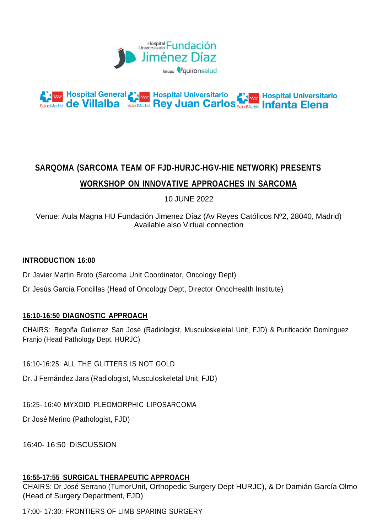



# **SARQOMA (SARCOMA TEAM OF FJD-HURJC-HGV-HIE NETWORK) PRESENTS WORKSHOP ON INNOVATIVE APPROACHES IN SARCOMA**

10 JUNE 2022

Venue: Aula Magna HU Fundación Jimenez Díaz (Av Reyes Católicos Nº2, 28040, Madrid) Available also Virtual connection

### **INTRODUCTION 16:00**

Dr Javier Martin Broto (Sarcoma Unit Coordinator, Oncology Dept)

Dr Jesús García Foncillas (Head of Oncology Dept, Director OncoHealth Institute)

#### **16:10-16:50 DIAGNOSTIC APPROACH**

CHAIRS: Begoña Gutierrez San José (Radiologist, Musculoskeletal Unit, FJD) & Purificación Domínguez Franjo (Head Pathology Dept, HURJC)

16:10-16:25: ALL THE GLITTERS IS NOT GOLD

Dr. J Fernández Jara (Radiologist, Musculoskeletal Unit, FJD)

16:25- 16:40 MYXOID PLEOMORPHIC LIPOSARCOMA

Dr José Merino (Pathologist, FJD)

16:40- 16:50 DISCUSSION

#### **16:55-17:55 SURGICAL THERAPEUTIC APPROACH**

CHAIRS: Dr José Serrano (TumorUnit, Orthopedic Surgery Dept HURJC), & Dr Damián García Olmo (Head of Surgery Department, FJD)

17:00- 17:30: FRONTIERS OF LIMB SPARING SURGERY